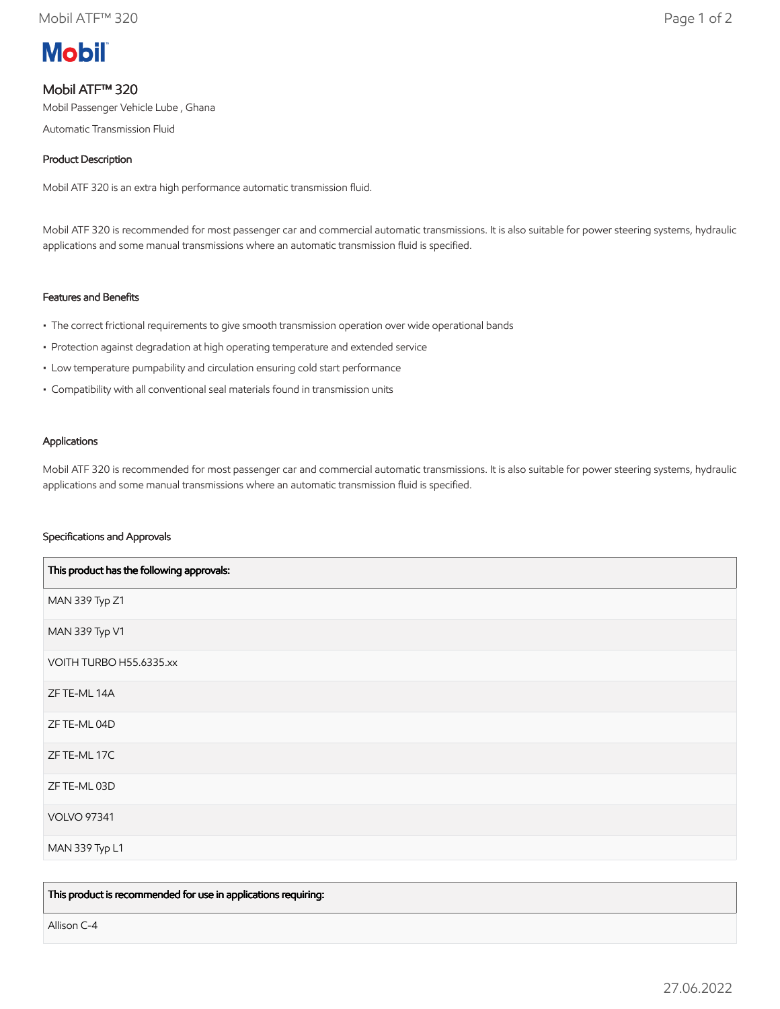

## Mobil ATF™ 320

Mobil Passenger Vehicle Lube , Ghana

Automatic Transmission Fluid

#### Product Description

Mobil ATF 320 is an extra high performance automatic transmission fluid.

Mobil ATF 320 is recommended for most passenger car and commercial automatic transmissions. It is also suitable for power steering systems, hydraulic applications and some manual transmissions where an automatic transmission fluid is specified.

#### Features and Benefits

- The correct frictional requirements to give smooth transmission operation over wide operational bands
- Protection against degradation at high operating temperature and extended service
- Low temperature pumpability and circulation ensuring cold start performance
- Compatibility with all conventional seal materials found in transmission units

#### Applications

Mobil ATF 320 is recommended for most passenger car and commercial automatic transmissions. It is also suitable for power steering systems, hydraulic applications and some manual transmissions where an automatic transmission fluid is specified.

#### Specifications and Approvals

| This product has the following approvals: |
|-------------------------------------------|
| MAN 339 Typ Z1                            |
| MAN 339 Typ V1                            |
| VOITH TURBO H55.6335.xx                   |
| ZF TE-ML 14A                              |
| ZF TE-ML 04D                              |
| ZF TE-ML 17C                              |
| ZF TE-ML 03D                              |
| <b>VOLVO 97341</b>                        |
| MAN 339 Typ L1                            |

This product is recommended for use in applications requiring:

Allison C-4